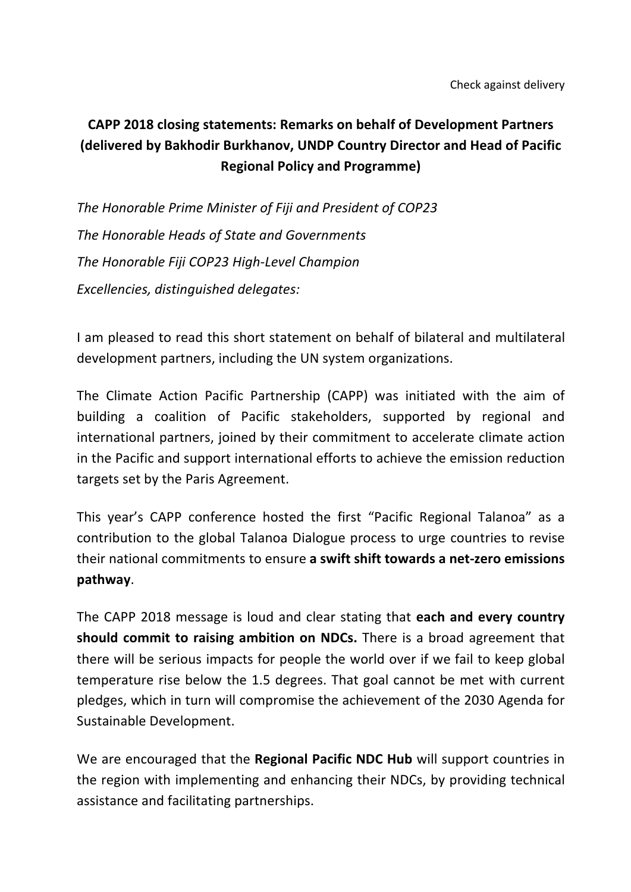## **CAPP 2018 closing statements: Remarks on behalf of Development Partners (delivered by Bakhodir Burkhanov, UNDP Country Director and Head of Pacific Regional Policy and Programme)**

*The Honorable Prime Minister of Fiji and President of COP23 The Honorable Heads of State and Governments The Honorable Fiji COP23 High-Level Champion Excellencies, distinguished delegates:*

I am pleased to read this short statement on behalf of bilateral and multilateral development partners, including the UN system organizations.

The Climate Action Pacific Partnership (CAPP) was initiated with the aim of building a coalition of Pacific stakeholders, supported by regional and international partners, joined by their commitment to accelerate climate action in the Pacific and support international efforts to achieve the emission reduction targets set by the Paris Agreement.

This year's CAPP conference hosted the first "Pacific Regional Talanoa" as a contribution to the global Talanoa Dialogue process to urge countries to revise their national commitments to ensure a swift shift towards a net-zero emissions **pathway**.

The CAPP 2018 message is loud and clear stating that each and every country **should commit to raising ambition on NDCs.** There is a broad agreement that there will be serious impacts for people the world over if we fail to keep global temperature rise below the 1.5 degrees. That goal cannot be met with current pledges, which in turn will compromise the achievement of the 2030 Agenda for Sustainable Development.

We are encouraged that the **Regional Pacific NDC Hub** will support countries in the region with implementing and enhancing their NDCs, by providing technical assistance and facilitating partnerships.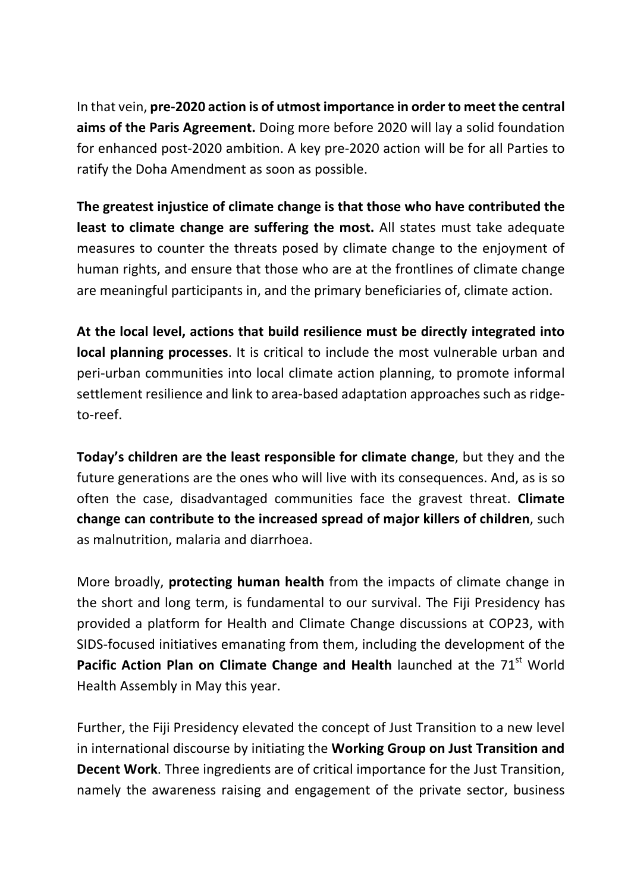In that vein, pre-2020 action is of utmost importance in order to meet the central **aims of the Paris Agreement.** Doing more before 2020 will lay a solid foundation for enhanced post-2020 ambition. A key pre-2020 action will be for all Parties to ratify the Doha Amendment as soon as possible.

The greatest injustice of climate change is that those who have contributed the **least to climate change are suffering the most.** All states must take adequate measures to counter the threats posed by climate change to the enjoyment of human rights, and ensure that those who are at the frontlines of climate change are meaningful participants in, and the primary beneficiaries of, climate action.

At the local level, actions that build resilience must be directly integrated into **local planning processes**. It is critical to include the most vulnerable urban and peri-urban communities into local climate action planning, to promote informal settlement resilience and link to area-based adaptation approaches such as ridgeto-reef.

**Today's children are the least responsible for climate change**, but they and the future generations are the ones who will live with its consequences. And, as is so often the case, disadvantaged communities face the gravest threat. **Climate change can contribute to the increased spread of major killers of children, such** as malnutrition, malaria and diarrhoea.

More broadly, protecting human health from the impacts of climate change in the short and long term, is fundamental to our survival. The Fiji Presidency has provided a platform for Health and Climate Change discussions at COP23, with SIDS-focused initiatives emanating from them, including the development of the **Pacific Action Plan on Climate Change and Health** launched at the 71<sup>st</sup> World Health Assembly in May this year.

Further, the Fiji Presidency elevated the concept of Just Transition to a new level in international discourse by initiating the **Working Group on Just Transition and Decent Work**. Three ingredients are of critical importance for the Just Transition, namely the awareness raising and engagement of the private sector, business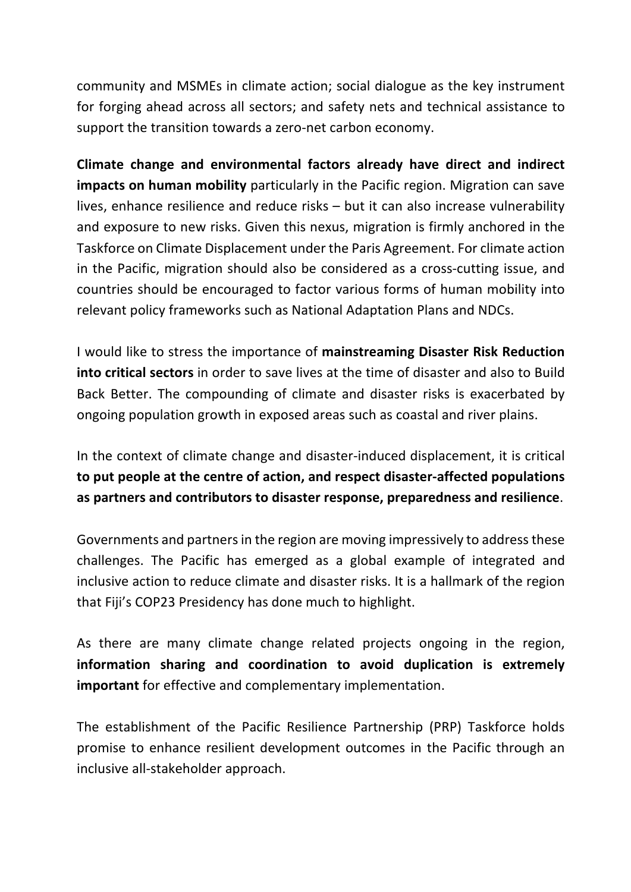community and MSMEs in climate action; social dialogue as the key instrument for forging ahead across all sectors; and safety nets and technical assistance to support the transition towards a zero-net carbon economy.

**Climate change and environmental factors already have direct and indirect impacts on human mobility** particularly in the Pacific region. Migration can save lives, enhance resilience and reduce risks  $-$  but it can also increase vulnerability and exposure to new risks. Given this nexus, migration is firmly anchored in the Taskforce on Climate Displacement under the Paris Agreement. For climate action in the Pacific, migration should also be considered as a cross-cutting issue, and countries should be encouraged to factor various forms of human mobility into relevant policy frameworks such as National Adaptation Plans and NDCs.

I would like to stress the importance of mainstreaming Disaster Risk Reduction **into critical sectors** in order to save lives at the time of disaster and also to Build Back Better. The compounding of climate and disaster risks is exacerbated by ongoing population growth in exposed areas such as coastal and river plains.

In the context of climate change and disaster-induced displacement, it is critical to put people at the centre of action, and respect disaster-affected populations as partners and contributors to disaster response, preparedness and resilience.

Governments and partners in the region are moving impressively to address these challenges. The Pacific has emerged as a global example of integrated and inclusive action to reduce climate and disaster risks. It is a hallmark of the region that Fiji's COP23 Presidency has done much to highlight.

As there are many climate change related projects ongoing in the region, **information** sharing and coordination to avoid duplication is extremely **important** for effective and complementary implementation.

The establishment of the Pacific Resilience Partnership (PRP) Taskforce holds promise to enhance resilient development outcomes in the Pacific through an inclusive all-stakeholder approach.